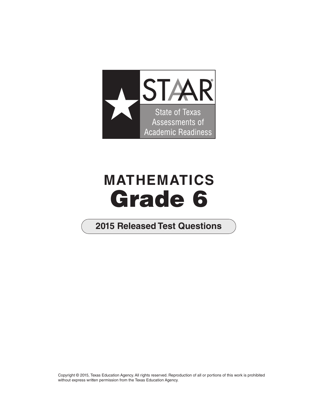

# **MATHEMATICS Grade 6**

# **2015 Released Test Questions**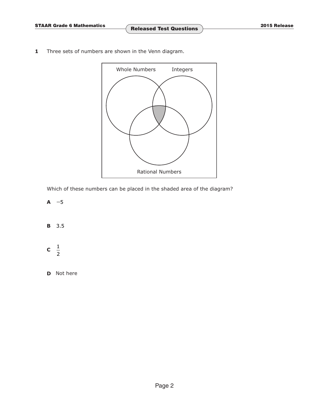**1** Three sets of numbers are shown in the Venn diagram.



Which of these numbers can be placed in the shaded area of the diagram?

**A −**5

**B** 3 5.

 $c \frac{1}{2}$ 2

**D** Not here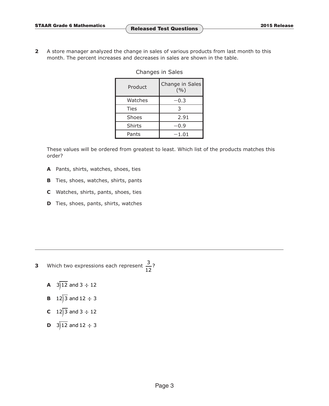**2** A store manager analyzed the change in sales of various products from last month to this month. The percent increases and decreases in sales are shown in the table.

| Product       | Change in Sales<br>(9/0) |
|---------------|--------------------------|
| Watches       | 0.3                      |
| Ties          | 3                        |
| Shoes         | 2.91                     |
| <b>Shirts</b> | 0.9                      |
| Pants         | $-1.01$                  |

### Changes in Sales

These values will be ordered from greatest to least. Which list of the products matches this order?

- **A** Pants, shirts, watches, shoes, ties
- **B** Ties, shoes, watches, shirts, pants
- **C** Watches, shirts, pants, shoes, ties
- **D** Ties, shoes, pants, shirts, watches

- **3** Which two expressions each represent  $\frac{3}{2}$ ? 12
	- **A**  $3\overline{)12}$  and  $3 \div 12$
	- **B**  $12\overline{)3}$  and  $12 \div 3$
	- **C**  $12\overline{)3}$  and  $3 \div 12$
	- **D**  $3\overline{)12}$  and  $12 \div 3$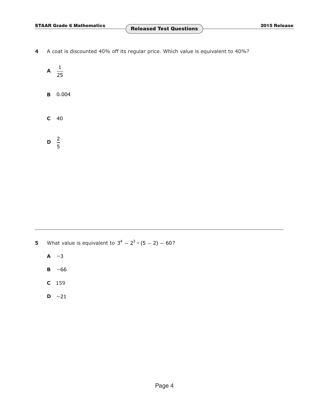- **4** A coat is discounted 40% off its regular price. Which value is equivalent to 40%?
	- $\mathsf{A} \quad \frac{1}{\cdot \cdot \cdot}$ 25
	- **B** 0.004
	- **C** 40

 $\frac{2}{2}$ 5

- **5** What value is equivalent to  $3^4 2^3 \cdot (5 2) 60$ ?
	- **A −**3
	- **B −**66
	- **C** 159
	- **D −**21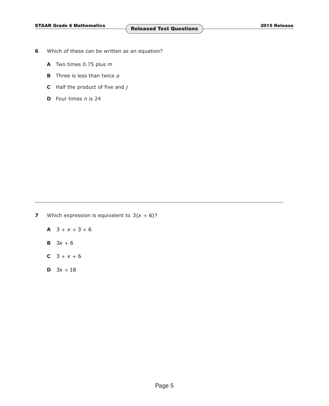- **6** Which of these can be written as an equation?
	- **A** Two times 0.75 plus *m*
	- **B** Three is less than twice *a*
	- **C** Half the product of five and *j*
	- **D** Four times *n* is 24

**7** Which expression is equivalent to  $3(x + 6)$ ?

 $A$  3 +  $x$  + 3 + 6

- **B**  $3x + 6$
- **C**  $3 + x + 6$
- **D**  $3x + 18$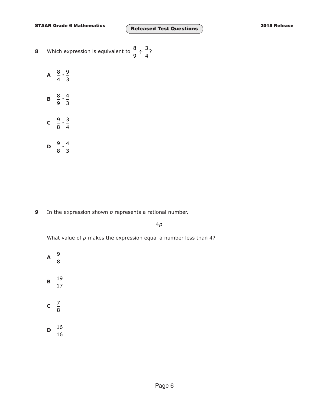**STAAR Grade 6 Mathematics 2015 Release Released Test Questions**

- 8 Which expression is equivalent to  $\frac{8}{5}$   $\div$   $\frac{3}{5}$ ? 9 4
	- **A**  $\frac{8}{4} \cdot \frac{9}{3}$ **B**  $\frac{8}{9} \cdot \frac{4}{3}$ **c**  $\frac{9}{8} \cdot \frac{3}{4}$

**D**  $\frac{9}{8} \cdot \frac{4}{3}$ 

**9** In the expression shown *p* represents a rational number.

4*p*

What value of *p* makes the expression equal a number less than 4?

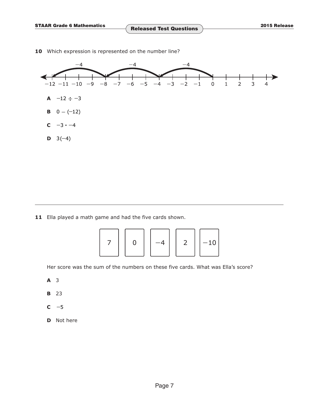

10 Which expression is represented on the number line?

**11** Ella played a math game and had the five cards shown.

|--|--|--|--|--|

Her score was the sum of the numbers on these five cards. What was Ella's score?

- **A** 3
- **B** 23
- **C −**5
- **D** Not here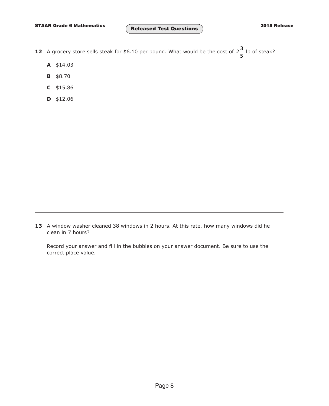- **12** A grocery store sells steak for \$6.10 per pound. What would be the cost of  $2\frac{3}{5}$  lb of steak? 5
	- **A** \$14.03
	- **B** \$8.70
	- **C** \$15.86
	- **D** \$12.06

**13** A window washer cleaned 38 windows in 2 hours. At this rate, how many windows did he clean in 7 hours?

Record your answer and fill in the bubbles on your answer document. Be sure to use the correct place value.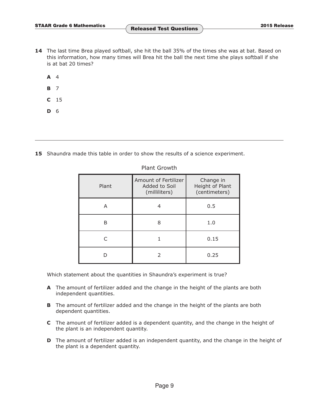- **14** The last time Brea played softball, she hit the ball 35% of the times she was at bat. Based on this information, how many times will Brea hit the ball the next time she plays softball if she is at bat 20 times?
	- **A** 4
	- **B** 7
	- **C** 15
	- **D** 6

**15** Shaundra made this table in order to show the results of a science experiment.

| Plant | Amount of Fertilizer<br>Added to Soil<br>(milliliters) | Change in<br>Height of Plant<br>(centimeters) |
|-------|--------------------------------------------------------|-----------------------------------------------|
| А     | 4                                                      | 0.5                                           |
| R     | 8                                                      | 1.0                                           |
|       |                                                        | 0.15                                          |
|       |                                                        | 0.25                                          |

## Plant Growth

Which statement about the quantities in Shaundra's experiment is true?

- **A** The amount of fertilizer added and the change in the height of the plants are both independent quantities.
- **B** The amount of fertilizer added and the change in the height of the plants are both dependent quantities.
- **C** The amount of fertilizer added is a dependent quantity, and the change in the height of the plant is an independent quantity.
- **D** The amount of fertilizer added is an independent quantity, and the change in the height of the plant is a dependent quantity.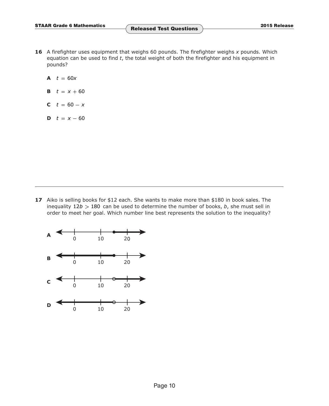- **16** A firefighter uses equipment that weighs 60 pounds. The firefighter weighs *x* pounds. Which equation can be used to find *t*, the total weight of both the firefighter and his equipment in pounds?
	- **A**  $t = 60x$
	- **B**  $t = x + 60$
	- **C**  $t = 60 x$
	- **D**  $t = x 60$

**17** Aiko is selling books for \$12 each. She wants to make more than \$180 in book sales. The inequality 12*b* **>** 180 can be used to determine the number of books, *b*, she must sell in order to meet her goal. Which number line best represents the solution to the inequality?

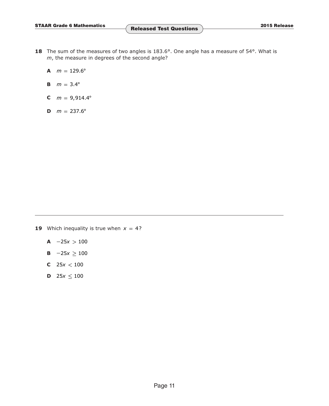- 18 The sum of the measures of two angles is 183.6°. One angle has a measure of 54°. What is *m*, the measure in degrees of the second angle?
	- **A**  $m = 129.6^{\circ}$
	- **B**  $m = 3.4^{\circ}$
	- **C**  $m = 9,914.4^{\circ}$
	- **D**  $m = 237.6^{\circ}$

- **19** Which inequality is true when  $x = 4$ ?
	- **A −**25*x* **>** 100
	- **B −**25*x* **≥** 100
	- **C** 25*x* **<** 100
	- **D**  $25x \le 100$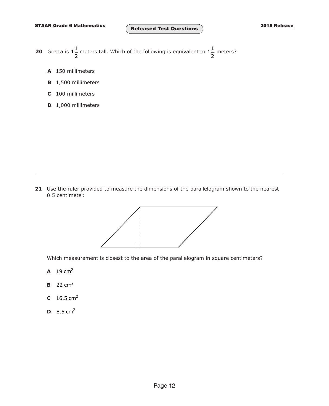- **20** Gretta is  $1\frac{1}{2}$  meters tall. Which of the following is equivalent to  $1\frac{1}{2}$  meters? 2 2
	- **A** 150 millimeters
	- **B** 1,500 millimeters
	- **C** 100 millimeters
	- **D** 1,000 millimeters

**21** Use the ruler provided to measure the dimensions of the parallelogram shown to the nearest 0.5 centimeter.



Which measurement is closest to the area of the parallelogram in square centimeters?

- **A**  $19 \text{ cm}^2$
- **B** 22 cm2
- **C**  $16.5 \text{ cm}^2$
- **D**  $8.5 \text{ cm}^2$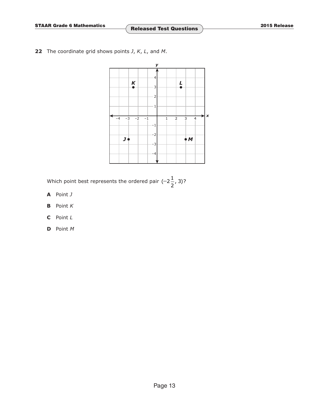**22** The coordinate grid shows points *J*, *K*, *L*, and *M*.



Which point best represents the ordered pair  $(-2\frac{1}{5}, 3)$ ? 2

- **A** Point *J*
- **B** Point *K*
- **C** Point *L*
- **D** Point *M*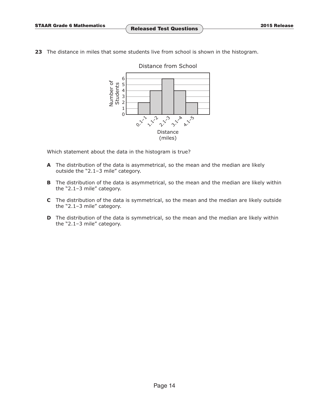**23** The distance in miles that some students live from school is shown in the histogram.



Which statement about the data in the histogram is true?

- **A** The distribution of the data is asymmetrical, so the mean and the median are likely outside the "2.1–3 mile" category.
- **B** The distribution of the data is asymmetrical, so the mean and the median are likely within the "2.1–3 mile" category.
- **C** The distribution of the data is symmetrical, so the mean and the median are likely outside the "2.1–3 mile" category.
- **D** The distribution of the data is symmetrical, so the mean and the median are likely within the "2.1–3 mile" category.

# Distance from School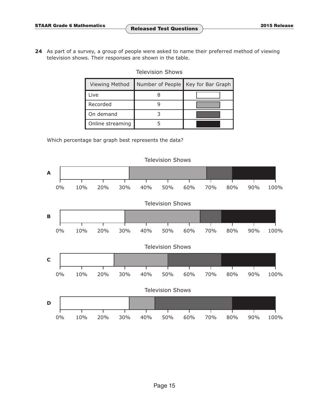**24** As part of a survey, a group of people were asked to name their preferred method of viewing television shows. Their responses are shown in the table.

# Television Shows

| <b>Viewing Method</b> | Number of People | Key for Bar Graph |
|-----------------------|------------------|-------------------|
| Live                  |                  |                   |
| Recorded              |                  |                   |
| On demand             |                  |                   |
| Online streaming      |                  |                   |

Which percentage bar graph best represents the data?

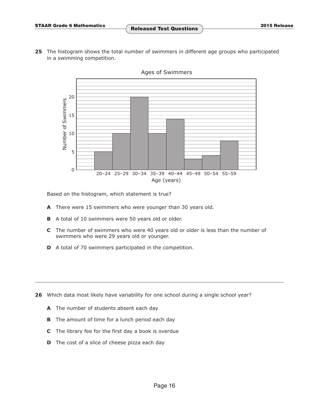**25** The histogram shows the total number of swimmers in different age groups who participated in a swimming competition.



Ages of Swimmers

Based on the histogram, which statement is true?

- **A** There were 15 swimmers who were younger than 30 years old.
- **B** A total of 10 swimmers were 50 years old or older.
- **C** The number of swimmers who were 40 years old or older is less than the number of swimmers who were 29 years old or younger.
- **D** A total of 70 swimmers participated in the competition.

**26** Which data most likely have variability for one school during a single school year?

- **A** The number of students absent each day
- **B** The amount of time for a lunch period each day
- **C** The library fee for the first day a book is overdue
- **D** The cost of a slice of cheese pizza each day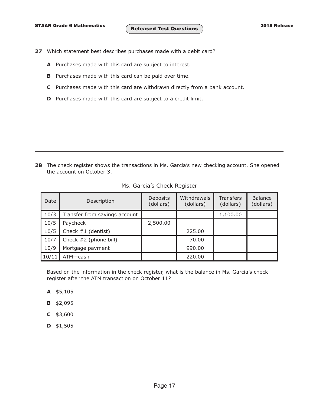- **27** Which statement best describes purchases made with a debit card?
	- **A** Purchases made with this card are subject to interest.
	- **B** Purchases made with this card can be paid over time.
	- **C** Purchases made with this card are withdrawn directly from a bank account.
	- **D** Purchases made with this card are subject to a credit limit.

**28** The check register shows the transactions in Ms. Garcia's new checking account. She opened the account on October 3.

| Date  | Description                   | Deposits<br>(dollars) | Withdrawals<br>(dollars) | <b>Transfers</b><br>(dollars) | Balance<br>(dollars) |
|-------|-------------------------------|-----------------------|--------------------------|-------------------------------|----------------------|
| 10/3  | Transfer from savings account |                       |                          | 1,100.00                      |                      |
| 10/5  | Paycheck                      | 2,500.00              |                          |                               |                      |
| 10/5  | Check $#1$ (dentist)          |                       | 225.00                   |                               |                      |
| 10/7  | Check #2 (phone bill)         |                       | 70.00                    |                               |                      |
| 10/9  | Mortgage payment              |                       | 990.00                   |                               |                      |
| 10/11 | ATM-cash                      |                       | 220.00                   |                               |                      |

#### Ms. Garcia's Check Register

Based on the information in the check register, what is the balance in Ms. Garcia's check register after the ATM transaction on October 11?

- **A** \$5,105
- **B** \$2,095
- **C** \$3,600
- **D** \$1,505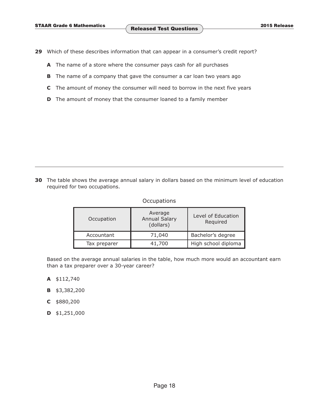- **29** Which of these describes information that can appear in a consumer's credit report?
	- **A** The name of a store where the consumer pays cash for all purchases
	- **B** The name of a company that gave the consumer a car loan two years ago
	- **C** The amount of money the consumer will need to borrow in the next five years
	- **D** The amount of money that the consumer loaned to a family member

**30** The table shows the average annual salary in dollars based on the minimum level of education required for two occupations.

#### **Occupations**

| Occupation   | Average<br><b>Annual Salary</b><br>(dollars) | Level of Education<br>Required |  |
|--------------|----------------------------------------------|--------------------------------|--|
| Accountant   | 71,040                                       | Bachelor's degree              |  |
| Tax preparer | 41,700                                       | High school diploma            |  |

Based on the average annual salaries in the table, how much more would an accountant earn than a tax preparer over a 30-year career?

- **A** \$112,740
- **B** \$3,382,200
- **C** \$880,200
- **D** \$1,251,000